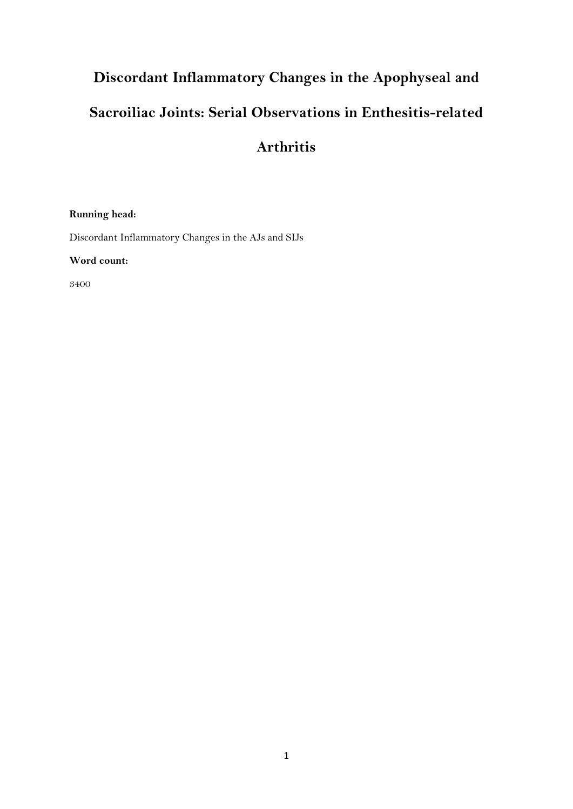# **Discordant Inflammatory Changes in the Apophyseal and Sacroiliac Joints: Serial Observations in Enthesitis-related Arthritis**

# **Running head:**

Discordant Inflammatory Changes in the AJs and SIJs

**Word count:**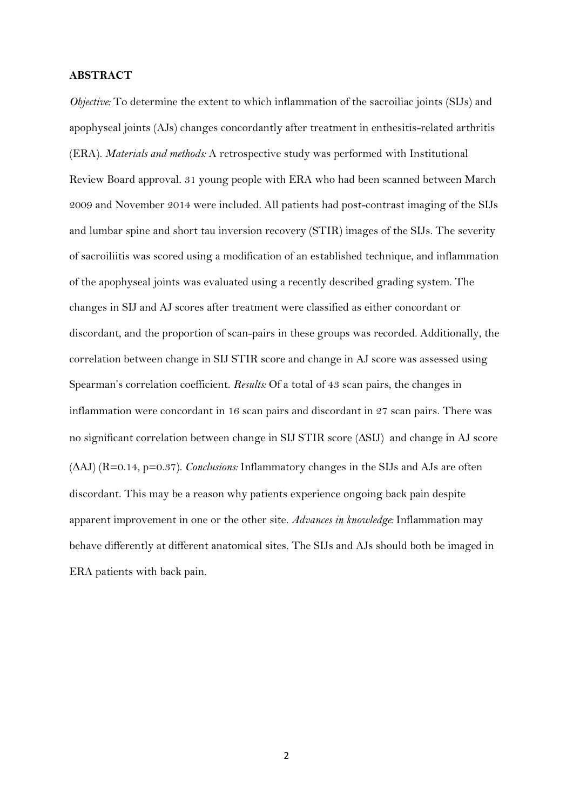#### **ABSTRACT**

*Objective*: To determine the extent to which inflammation of the sacroiliac joints (SIJs) and apophyseal joints (AJs) changes concordantly after treatment in enthesitis-related arthritis (ERA). *Materials and methods:* A retrospective study was performed with Institutional Review Board approval. 31 young people with ERA who had been scanned between March 2009 and November 2014 were included. All patients had post-contrast imaging of the SIJs and lumbar spine and short tau inversion recovery (STIR) images of the SIJs. The severity of sacroiliitis was scored using a modification of an established technique, and inflammation of the apophyseal joints was evaluated using a recently described grading system. The changes in SIJ and AJ scores after treatment were classified as either concordant or discordant, and the proportion of scan-pairs in these groups was recorded. Additionally, the correlation between change in SIJ STIR score and change in AJ score was assessed using Spearman's correlation coefficient. *Results:* Of a total of 43 scan pairs, the changes in inflammation were concordant in 16 scan pairs and discordant in 27 scan pairs. There was no significant correlation between change in SIJ STIR score  $(\Delta S I)$  and change in AJ score  $(AAJ)$  (R=0.14, p=0.37). *Conclusions:* Inflammatory changes in the SIJs and AJs are often discordant. This may be a reason why patients experience ongoing back pain despite apparent improvement in one or the other site. *Advances in knowledge:* Inflammation may behave differently at different anatomical sites. The SIJs and AJs should both be imaged in ERA patients with back pain.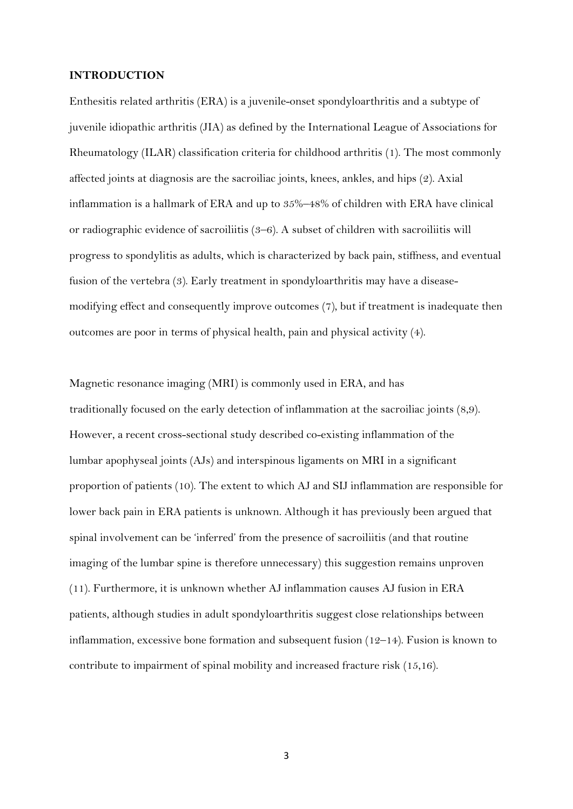#### **INTRODUCTION**

Enthesitis related arthritis (ERA) is a juvenile-onset spondyloarthritis and a subtype of juvenile idiopathic arthritis (JIA) as defined by the International League of Associations for Rheumatology (ILAR) classification criteria for childhood arthritis (1). The most commonly affected joints at diagnosis are the sacroiliac joints, knees, ankles, and hips (2). Axial inflammation is a hallmark of ERA and up to 35%–48% of children with ERA have clinical or radiographic evidence of sacroiliitis (3–6). A subset of children with sacroiliitis will progress to spondylitis as adults, which is characterized by back pain, stiffness, and eventual fusion of the vertebra (3). Early treatment in spondyloarthritis may have a diseasemodifying effect and consequently improve outcomes (7), but if treatment is inadequate then outcomes are poor in terms of physical health, pain and physical activity (4).

Magnetic resonance imaging (MRI) is commonly used in ERA, and has traditionally focused on the early detection of inflammation at the sacroiliac joints (8,9). However, a recent cross-sectional study described co-existing inflammation of the lumbar apophyseal joints (AJs) and interspinous ligaments on MRI in a significant proportion of patients (10). The extent to which AJ and SIJ inflammation are responsible for lower back pain in ERA patients is unknown. Although it has previously been argued that spinal involvement can be 'inferred' from the presence of sacroiliitis (and that routine imaging of the lumbar spine is therefore unnecessary) this suggestion remains unproven (11). Furthermore, it is unknown whether AJ inflammation causes AJ fusion in ERA patients, although studies in adult spondyloarthritis suggest close relationships between inflammation, excessive bone formation and subsequent fusion (12–14). Fusion is known to contribute to impairment of spinal mobility and increased fracture risk (15,16).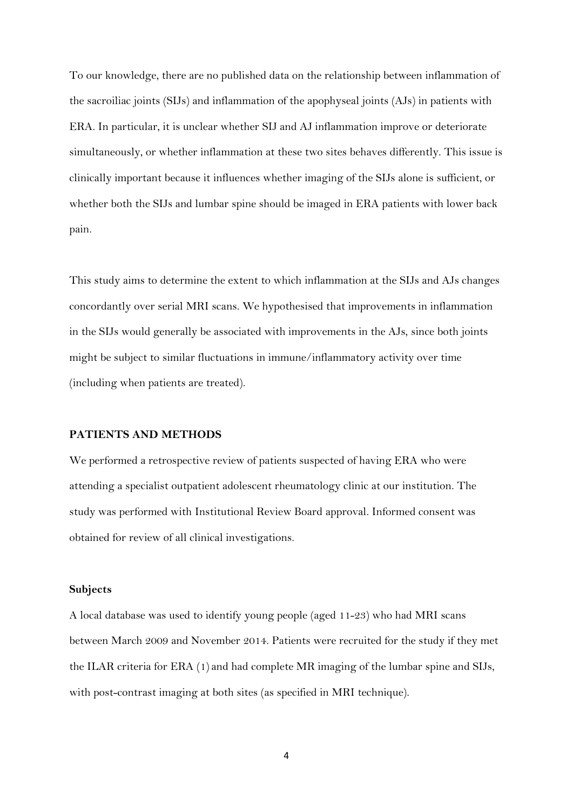To our knowledge, there are no published data on the relationship between inflammation of the sacroiliac joints (SIJs) and inflammation of the apophyseal joints (AJs) in patients with ERA. In particular, it is unclear whether SIJ and AJ inflammation improve or deteriorate simultaneously, or whether inflammation at these two sites behaves differently. This issue is clinically important because it influences whether imaging of the SIJs alone is sufficient, or whether both the SIJs and lumbar spine should be imaged in ERA patients with lower back pain.

This study aims to determine the extent to which inflammation at the SIJs and AJs changes concordantly over serial MRI scans. We hypothesised that improvements in inflammation in the SIJs would generally be associated with improvements in the AJs, since both joints might be subject to similar fluctuations in immune/inflammatory activity over time (including when patients are treated).

#### **PATIENTS AND METHODS**

We performed a retrospective review of patients suspected of having ERA who were attending a specialist outpatient adolescent rheumatology clinic at our institution. The study was performed with Institutional Review Board approval. Informed consent was obtained for review of all clinical investigations.

#### **Subjects**

A local database was used to identify young people (aged 11-23) who had MRI scans between March 2009 and November 2014. Patients were recruited for the study if they met the ILAR criteria for ERA (1) and had complete MR imaging of the lumbar spine and SIJs, with post-contrast imaging at both sites (as specified in MRI technique).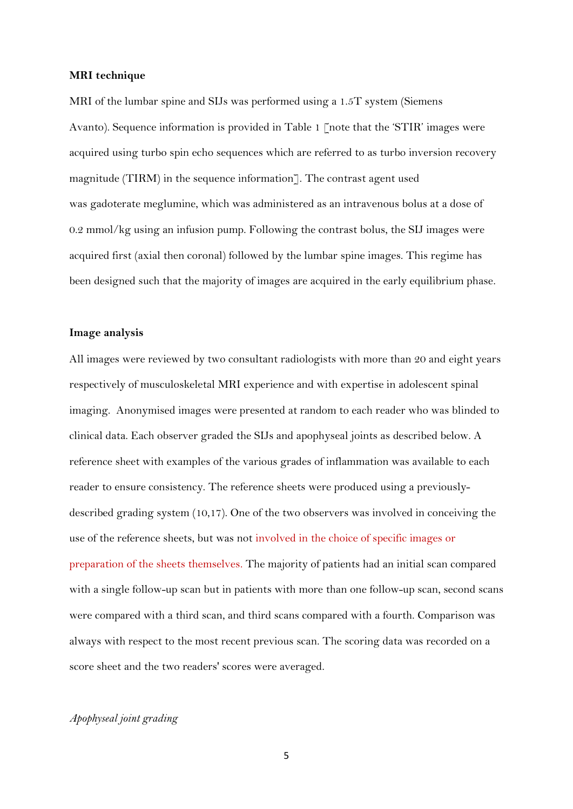#### **MRI technique**

MRI of the lumbar spine and SIJs was performed using a 1.5T system (Siemens Avanto). Sequence information is provided in Table 1 [note that the 'STIR' images were acquired using turbo spin echo sequences which are referred to as turbo inversion recovery magnitude (TIRM) in the sequence information]. The contrast agent used was gadoterate meglumine, which was administered as an intravenous bolus at a dose of 0.2 mmol/kg using an infusion pump. Following the contrast bolus, the SIJ images were acquired first (axial then coronal) followed by the lumbar spine images. This regime has been designed such that the majority of images are acquired in the early equilibrium phase.

#### **Image analysis**

All images were reviewed by two consultant radiologists with more than 20 and eight years respectively of musculoskeletal MRI experience and with expertise in adolescent spinal imaging. Anonymised images were presented at random to each reader who was blinded to clinical data. Each observer graded the SIJs and apophyseal joints as described below. A reference sheet with examples of the various grades of inflammation was available to each reader to ensure consistency. The reference sheets were produced using a previouslydescribed grading system (10,17). One of the two observers was involved in conceiving the use of the reference sheets, but was not involved in the choice of specific images or preparation of the sheets themselves. The majority of patients had an initial scan compared with a single follow-up scan but in patients with more than one follow-up scan, second scans were compared with a third scan, and third scans compared with a fourth. Comparison was always with respect to the most recent previous scan. The scoring data was recorded on a score sheet and the two readers' scores were averaged.

#### *Apophyseal joint grading*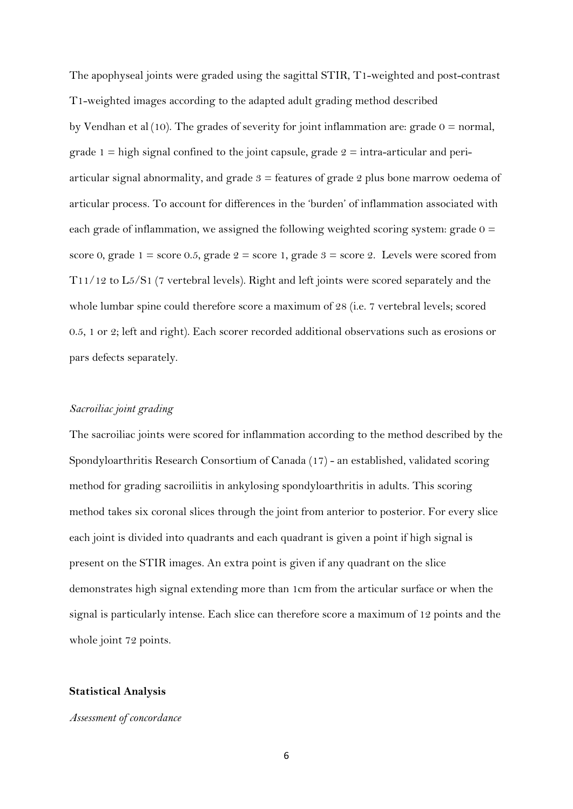The apophyseal joints were graded using the sagittal STIR, T1-weighted and post-contrast T1-weighted images according to the adapted adult grading method described by Vendhan et al (10). The grades of severity for joint inflammation are: grade  $0 =$  normal, grade 1 = high signal confined to the joint capsule, grade  $2 =$  intra-articular and periarticular signal abnormality, and grade  $3 =$  features of grade 2 plus bone marrow oedema of articular process. To account for differences in the 'burden' of inflammation associated with each grade of inflammation, we assigned the following weighted scoring system: grade  $0 =$ score 0, grade 1 = score 0.5, grade  $2$  = score 1, grade  $3$  = score 2. Levels were scored from T11/12 to L5/S1 (7 vertebral levels). Right and left joints were scored separately and the whole lumbar spine could therefore score a maximum of 28 (i.e. 7 vertebral levels; scored 0.5, 1 or 2; left and right). Each scorer recorded additional observations such as erosions or pars defects separately.

#### *Sacroiliac joint grading*

The sacroiliac joints were scored for inflammation according to the method described by the Spondyloarthritis Research Consortium of Canada (17) - an established, validated scoring method for grading sacroiliitis in ankylosing spondyloarthritis in adults. This scoring method takes six coronal slices through the joint from anterior to posterior. For every slice each joint is divided into quadrants and each quadrant is given a point if high signal is present on the STIR images. An extra point is given if any quadrant on the slice demonstrates high signal extending more than 1cm from the articular surface or when the signal is particularly intense. Each slice can therefore score a maximum of 12 points and the whole joint 72 points.

### **Statistical Analysis**

#### *Assessment of concordance*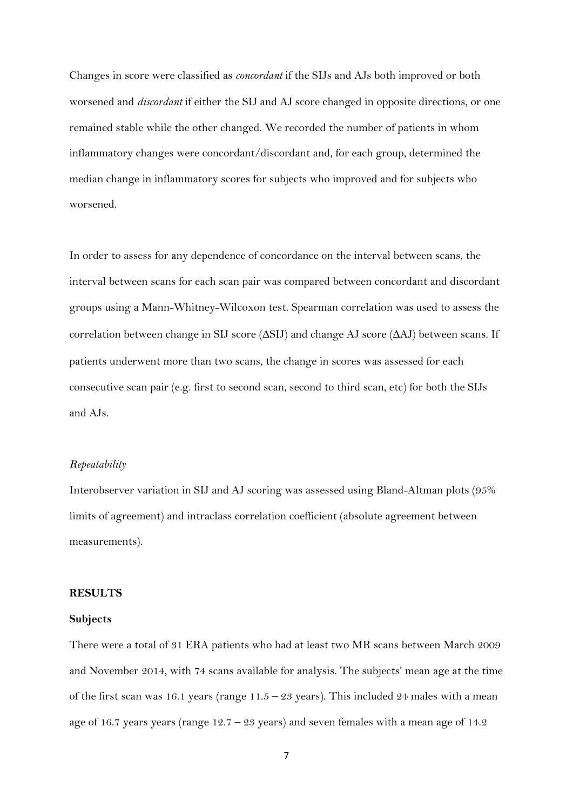Changes in score were classified as *concordant* if the SIJs and AJs both improved or both worsened and *discordant* if either the SIJ and AJ score changed in opposite directions, or one remained stable while the other changed. We recorded the number of patients in whom inflammatory changes were concordant/discordant and, for each group, determined the median change in inflammatory scores for subjects who improved and for subjects who worsened.

In order to assess for any dependence of concordance on the interval between scans, the interval between scans for each scan pair was compared between concordant and discordant groups using a Mann-Whitney-Wilcoxon test. Spearman correlation was used to assess the correlation between change in SIJ score ( $\Delta$ SIJ) and change AJ score ( $\Delta$ AJ) between scans. If patients underwent more than two scans, the change in scores was assessed for each consecutive scan pair (e.g. first to second scan, second to third scan, etc) for both the SIJs and AJs.

#### *Repeatability*

Interobserver variation in SIJ and AJ scoring was assessed using Bland-Altman plots (95% limits of agreement) and intraclass correlation coefficient (absolute agreement between measurements).

#### **RESULTS**

#### **Subjects**

There were a total of 31 ERA patients who had at least two MR scans between March 2009 and November 2014, with 74 scans available for analysis. The subjects' mean age at the time of the first scan was 16.1 years (range  $11.5 - 23$  years). This included 24 males with a mean age of 16.7 years years (range  $12.7 - 23$  years) and seven females with a mean age of 14.2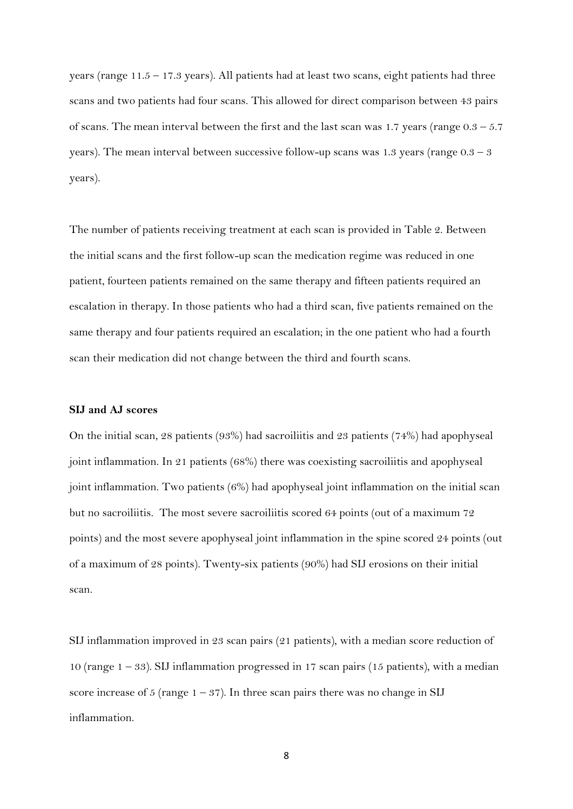years (range  $11.5 - 17.3$  years). All patients had at least two scans, eight patients had three scans and two patients had four scans. This allowed for direct comparison between 43 pairs of scans. The mean interval between the first and the last scan was 1.7 years (range  $0.3 - 5.7$ ) years). The mean interval between successive follow-up scans was 1.3 years (range  $0.3 - 3$ ) years).

The number of patients receiving treatment at each scan is provided in Table 2. Between the initial scans and the first follow-up scan the medication regime was reduced in one patient, fourteen patients remained on the same therapy and fifteen patients required an escalation in therapy. In those patients who had a third scan, five patients remained on the same therapy and four patients required an escalation; in the one patient who had a fourth scan their medication did not change between the third and fourth scans.

#### **SIJ and AJ scores**

On the initial scan, 28 patients (93%) had sacroiliitis and 23 patients (74%) had apophyseal joint inflammation. In 21 patients (68%) there was coexisting sacroiliitis and apophyseal joint inflammation. Two patients (6%) had apophyseal joint inflammation on the initial scan but no sacroiliitis. The most severe sacroiliitis scored 64 points (out of a maximum 72 points) and the most severe apophyseal joint inflammation in the spine scored 24 points (out of a maximum of 28 points). Twenty-six patients (90%) had SIJ erosions on their initial scan.

SIJ inflammation improved in 23 scan pairs (21 patients), with a median score reduction of 10 (range  $1 - 33$ ). SIJ inflammation progressed in 17 scan pairs (15 patients), with a median score increase of 5 (range  $1 - 37$ ). In three scan pairs there was no change in SIJ inflammation.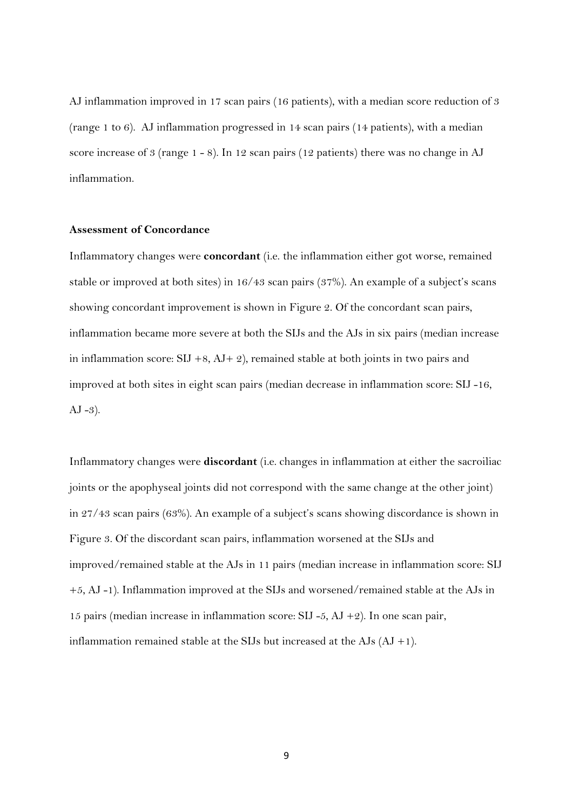AJ inflammation improved in 17 scan pairs (16 patients), with a median score reduction of 3 (range 1 to 6). AJ inflammation progressed in 14 scan pairs (14 patients), with a median score increase of 3 (range 1 - 8). In 12 scan pairs (12 patients) there was no change in AJ inflammation.

### **Assessment of Concordance**

Inflammatory changes were **concordant** (i.e. the inflammation either got worse, remained stable or improved at both sites) in 16/43 scan pairs (37%). An example of a subject's scans showing concordant improvement is shown in Figure 2. Of the concordant scan pairs, inflammation became more severe at both the SIJs and the AJs in six pairs (median increase in inflammation score:  $SIJ +8$ ,  $AJ + 2$ ), remained stable at both joints in two pairs and improved at both sites in eight scan pairs (median decrease in inflammation score: SIJ -16,  $AJ -3$ ).

Inflammatory changes were **discordant** (i.e. changes in inflammation at either the sacroiliac joints or the apophyseal joints did not correspond with the same change at the other joint) in 27/43 scan pairs (63%). An example of a subject's scans showing discordance is shown in Figure 3. Of the discordant scan pairs, inflammation worsened at the SIJs and improved/remained stable at the AJs in 11 pairs (median increase in inflammation score: SIJ +5, AJ -1). Inflammation improved at the SIJs and worsened/remained stable at the AJs in 15 pairs (median increase in inflammation score: SIJ -5,  $AJ + 2$ ). In one scan pair, inflammation remained stable at the SIJs but increased at the AJs  $(AJ + 1)$ .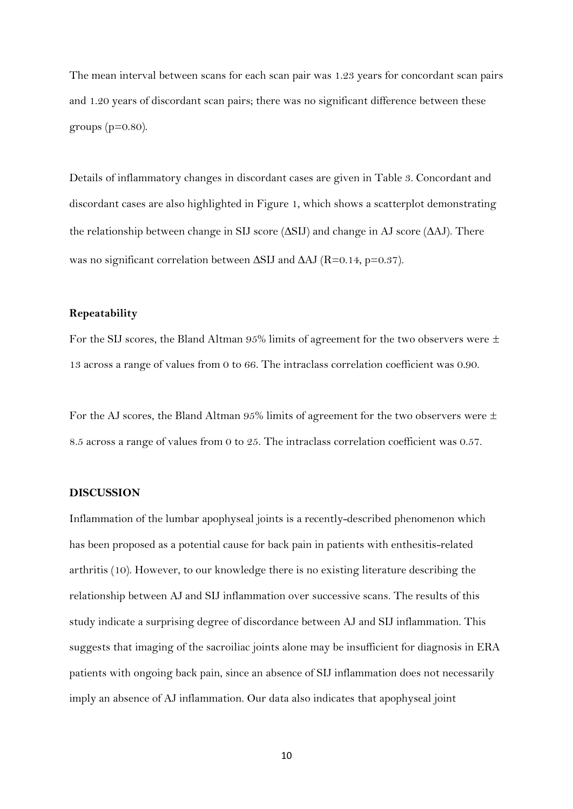The mean interval between scans for each scan pair was 1.23 years for concordant scan pairs and 1.20 years of discordant scan pairs; there was no significant difference between these groups ( $p=0.80$ ).

Details of inflammatory changes in discordant cases are given in Table 3. Concordant and discordant cases are also highlighted in Figure 1, which shows a scatterplot demonstrating the relationship between change in SIJ score  $(\Delta$ SIJ) and change in AJ score  $(\Delta$ AJ). There was no significant correlation between  $\Delta$ SIJ and  $\Delta$ AJ (R=0.14, p=0.37).

#### **Repeatability**

For the SIJ scores, the Bland Altman  $95\%$  limits of agreement for the two observers were  $\pm$ 13 across a range of values from 0 to 66. The intraclass correlation coefficient was 0.90.

For the AJ scores, the Bland Altman 95% limits of agreement for the two observers were  $\pm$ 8.5 across a range of values from 0 to 25. The intraclass correlation coefficient was 0.57.

#### **DISCUSSION**

Inflammation of the lumbar apophyseal joints is a recently-described phenomenon which has been proposed as a potential cause for back pain in patients with enthesitis-related arthritis (10). However, to our knowledge there is no existing literature describing the relationship between AJ and SIJ inflammation over successive scans. The results of this study indicate a surprising degree of discordance between AJ and SIJ inflammation. This suggests that imaging of the sacroiliac joints alone may be insufficient for diagnosis in ERA patients with ongoing back pain, since an absence of SIJ inflammation does not necessarily imply an absence of AJ inflammation. Our data also indicates that apophyseal joint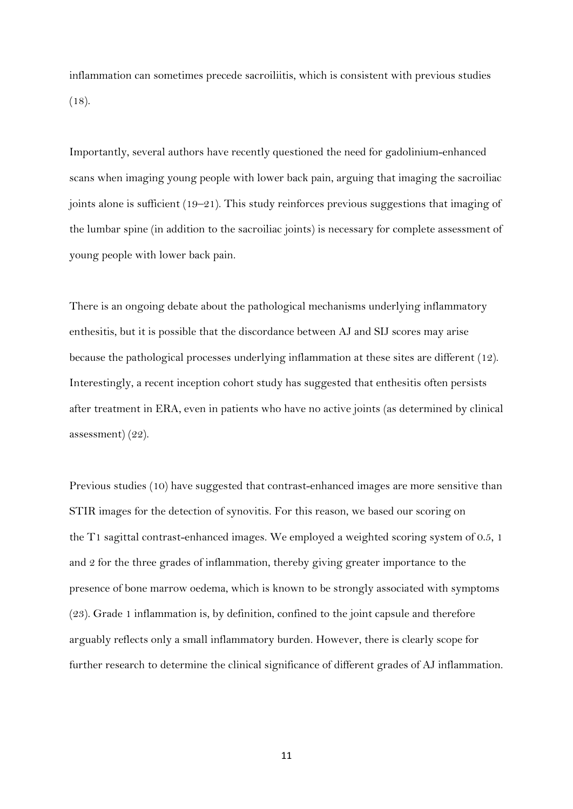inflammation can sometimes precede sacroiliitis, which is consistent with previous studies (18).

Importantly, several authors have recently questioned the need for gadolinium-enhanced scans when imaging young people with lower back pain, arguing that imaging the sacroiliac joints alone is sufficient (19–21). This study reinforces previous suggestions that imaging of the lumbar spine (in addition to the sacroiliac joints) is necessary for complete assessment of young people with lower back pain.

There is an ongoing debate about the pathological mechanisms underlying inflammatory enthesitis, but it is possible that the discordance between AJ and SIJ scores may arise because the pathological processes underlying inflammation at these sites are different (12). Interestingly, a recent inception cohort study has suggested that enthesitis often persists after treatment in ERA, even in patients who have no active joints (as determined by clinical assessment) (22).

Previous studies (10) have suggested that contrast-enhanced images are more sensitive than STIR images for the detection of synovitis. For this reason, we based our scoring on the T1 sagittal contrast-enhanced images. We employed a weighted scoring system of 0.5, 1 and 2 for the three grades of inflammation, thereby giving greater importance to the presence of bone marrow oedema, which is known to be strongly associated with symptoms (23). Grade 1 inflammation is, by definition, confined to the joint capsule and therefore arguably reflects only a small inflammatory burden. However, there is clearly scope for further research to determine the clinical significance of different grades of AJ inflammation.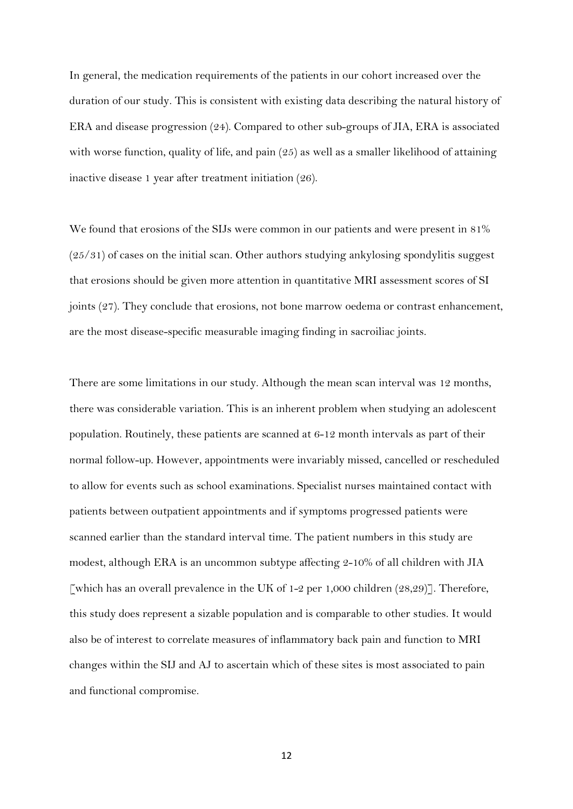In general, the medication requirements of the patients in our cohort increased over the duration of our study. This is consistent with existing data describing the natural history of ERA and disease progression (24). Compared to other sub-groups of JIA, ERA is associated with worse function, quality of life, and pain (25) as well as a smaller likelihood of attaining inactive disease 1 year after treatment initiation (26).

We found that erosions of the SIJs were common in our patients and were present in 81% (25/31) of cases on the initial scan. Other authors studying ankylosing spondylitis suggest that erosions should be given more attention in quantitative MRI assessment scores of SI joints (27). They conclude that erosions, not bone marrow oedema or contrast enhancement, are the most disease-specific measurable imaging finding in sacroiliac joints.

There are some limitations in our study. Although the mean scan interval was 12 months, there was considerable variation. This is an inherent problem when studying an adolescent population. Routinely, these patients are scanned at 6-12 month intervals as part of their normal follow-up. However, appointments were invariably missed, cancelled or rescheduled to allow for events such as school examinations. Specialist nurses maintained contact with patients between outpatient appointments and if symptoms progressed patients were scanned earlier than the standard interval time. The patient numbers in this study are modest, although ERA is an uncommon subtype affecting 2-10% of all children with JIA [which has an overall prevalence in the UK of 1-2 per 1,000 children  $(28,29)$ ]. Therefore, this study does represent a sizable population and is comparable to other studies. It would also be of interest to correlate measures of inflammatory back pain and function to MRI changes within the SIJ and AJ to ascertain which of these sites is most associated to pain and functional compromise.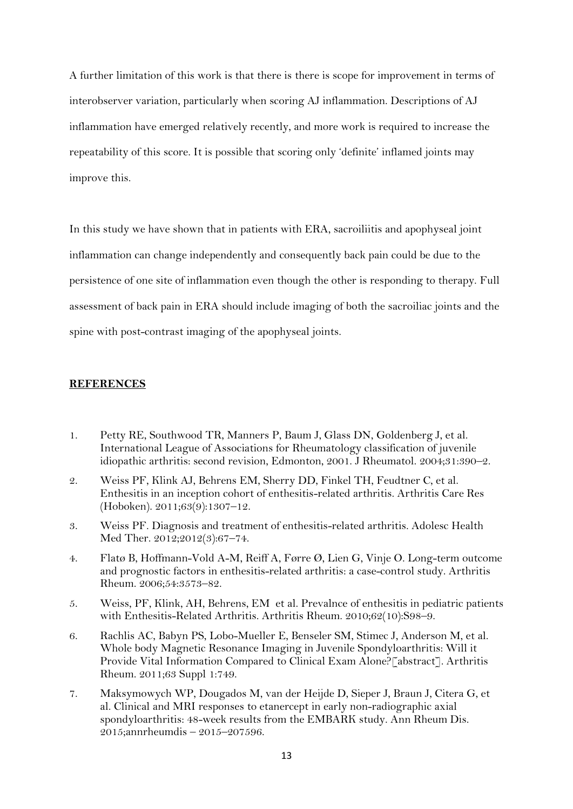A further limitation of this work is that there is there is scope for improvement in terms of interobserver variation, particularly when scoring AJ inflammation. Descriptions of AJ inflammation have emerged relatively recently, and more work is required to increase the repeatability of this score. It is possible that scoring only 'definite' inflamed joints may improve this.

In this study we have shown that in patients with ERA, sacroiliitis and apophyseal joint inflammation can change independently and consequently back pain could be due to the persistence of one site of inflammation even though the other is responding to therapy. Full assessment of back pain in ERA should include imaging of both the sacroiliac joints and the spine with post-contrast imaging of the apophyseal joints.

#### **REFERENCES**

- 1. Petty RE, Southwood TR, Manners P, Baum J, Glass DN, Goldenberg J, et al. International League of Associations for Rheumatology classification of juvenile idiopathic arthritis: second revision, Edmonton, 2001. J Rheumatol. 2004;31:390–2.
- 2. Weiss PF, Klink AJ, Behrens EM, Sherry DD, Finkel TH, Feudtner C, et al. Enthesitis in an inception cohort of enthesitis-related arthritis. Arthritis Care Res (Hoboken). 2011;63(9):1307–12.
- 3. Weiss PF. Diagnosis and treatment of enthesitis-related arthritis. Adolesc Health Med Ther. 2012;2012(3):67–74.
- 4. Flatø B, Hoffmann-Vold A-M, Reiff A, Førre Ø, Lien G, Vinje O. Long-term outcome and prognostic factors in enthesitis-related arthritis: a case-control study. Arthritis Rheum. 2006;54:3573–82.
- 5. Weiss, PF, Klink, AH, Behrens, EM et al. Prevalnce of enthesitis in pediatric patients with Enthesitis-Related Arthritis. Arthritis Rheum. 2010;62(10):S98–9.
- 6. Rachlis AC, Babyn PS, Lobo-Mueller E, Benseler SM, Stimec J, Anderson M, et al. Whole body Magnetic Resonance Imaging in Juvenile Spondyloarthritis: Will it Provide Vital Information Compared to Clinical Exam Alone?[abstract]. Arthritis Rheum. 2011;63 Suppl 1:749.
- 7. Maksymowych WP, Dougados M, van der Heijde D, Sieper J, Braun J, Citera G, et al. Clinical and MRI responses to etanercept in early non-radiographic axial spondyloarthritis: 48-week results from the EMBARK study. Ann Rheum Dis. 2015;annrheumdis – 2015–207596.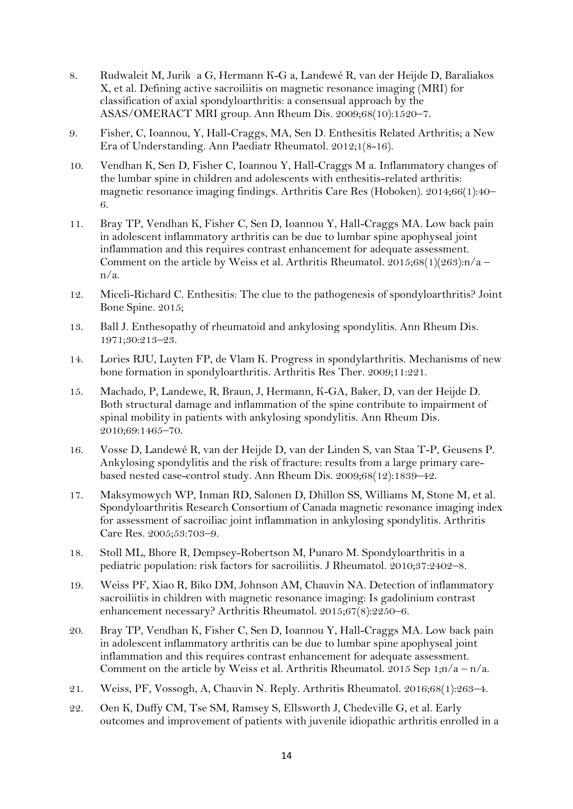- 8. Rudwaleit M, Jurik a G, Hermann K-G a, Landewé R, van der Heijde D, Baraliakos X, et al. Defining active sacroiliitis on magnetic resonance imaging (MRI) for classification of axial spondyloarthritis: a consensual approach by the ASAS/OMERACT MRI group. Ann Rheum Dis. 2009;68(10):1520–7.
- 9. Fisher, C, Ioannou, Y, Hall-Craggs, MA, Sen D. Enthesitis Related Arthritis; a New Era of Understanding. Ann Paediatr Rheumatol. 2012;1(8-16).
- 10. Vendhan K, Sen D, Fisher C, Ioannou Y, Hall-Craggs M a. Inflammatory changes of the lumbar spine in children and adolescents with enthesitis-related arthritis: magnetic resonance imaging findings. Arthritis Care Res (Hoboken). 2014;66(1):40– 6.
- 11. Bray TP, Vendhan K, Fisher C, Sen D, Ioannou Y, Hall-Craggs MA. Low back pain in adolescent inflammatory arthritis can be due to lumbar spine apophyseal joint inflammation and this requires contrast enhancement for adequate assessment. Comment on the article by Weiss et al. Arthritis Rheumatol.  $2015;68(1)(263):n/a$ n/a.
- 12. Miceli-Richard C. Enthesitis: The clue to the pathogenesis of spondyloarthritis? Joint Bone Spine. 2015;
- 13. Ball J. Enthesopathy of rheumatoid and ankylosing spondylitis. Ann Rheum Dis. 1971;30:213–23.
- 14. Lories RJU, Luyten FP, de Vlam K. Progress in spondylarthritis. Mechanisms of new bone formation in spondyloarthritis. Arthritis Res Ther. 2009;11:221.
- 15. Machado, P, Landewe, R, Braun, J, Hermann, K-GA, Baker, D, van der Heijde D. Both structural damage and inflammation of the spine contribute to impairment of spinal mobility in patients with ankylosing spondylitis. Ann Rheum Dis. 2010;69:1465–70.
- 16. Vosse D, Landewé R, van der Heijde D, van der Linden S, van Staa T-P, Geusens P. Ankylosing spondylitis and the risk of fracture: results from a large primary carebased nested case-control study. Ann Rheum Dis. 2009;68(12):1839–42.
- 17. Maksymowych WP, Inman RD, Salonen D, Dhillon SS, Williams M, Stone M, et al. Spondyloarthritis Research Consortium of Canada magnetic resonance imaging index for assessment of sacroiliac joint inflammation in ankylosing spondylitis. Arthritis Care Res. 2005;53:703–9.
- 18. Stoll ML, Bhore R, Dempsey-Robertson M, Punaro M. Spondyloarthritis in a pediatric population: risk factors for sacroiliitis. J Rheumatol. 2010;37:2402–8.
- 19. Weiss PF, Xiao R, Biko DM, Johnson AM, Chauvin NA. Detection of inflammatory sacroiliitis in children with magnetic resonance imaging: Is gadolinium contrast enhancement necessary? Arthritis Rheumatol. 2015;67(8):2250–6.
- 20. Bray TP, Vendhan K, Fisher C, Sen D, Ioannou Y, Hall-Craggs MA. Low back pain in adolescent inflammatory arthritis can be due to lumbar spine apophyseal joint inflammation and this requires contrast enhancement for adequate assessment. Comment on the article by Weiss et al. Arthritis Rheumatol. 2015 Sep 1;n/a – n/a.
- 21. Weiss, PF, Vossogh, A, Chauvin N. Reply. Arthritis Rheumatol. 2016;68(1):263–4.
- 22. Oen K, Duffy CM, Tse SM, Ramsey S, Ellsworth J, Chedeville G, et al. Early outcomes and improvement of patients with juvenile idiopathic arthritis enrolled in a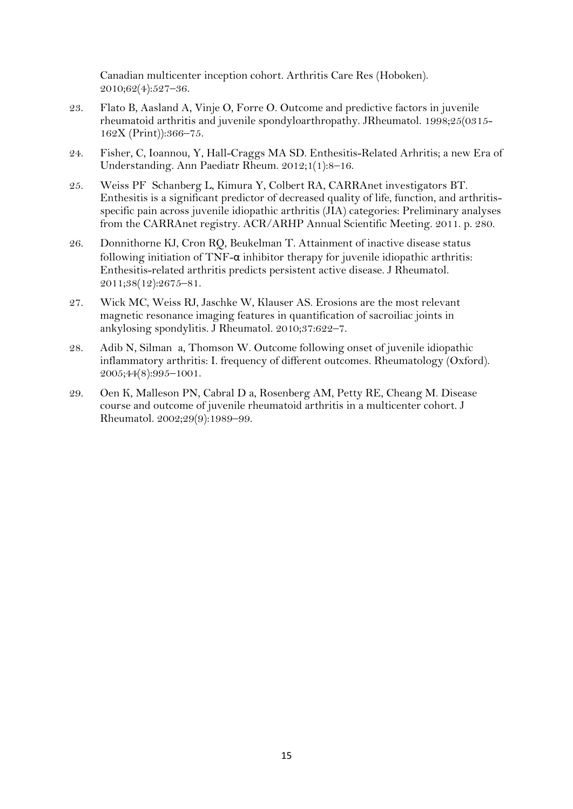Canadian multicenter inception cohort. Arthritis Care Res (Hoboken). 2010;62(4):527–36.

- 23. Flato B, Aasland A, Vinje O, Forre O. Outcome and predictive factors in juvenile rheumatoid arthritis and juvenile spondyloarthropathy. JRheumatol. 1998;25(0315- 162X (Print)):366–75.
- 24. Fisher, C, Ioannou, Y, Hall-Craggs MA SD. Enthesitis-Related Arhritis; a new Era of Understanding. Ann Paediatr Rheum. 2012;1(1):8–16.
- 25. Weiss PF Schanberg L, Kimura Y, Colbert RA, CARRAnet investigators BT. Enthesitis is a significant predictor of decreased quality of life, function, and arthritisspecific pain across juvenile idiopathic arthritis (JIA) categories: Preliminary analyses from the CARRAnet registry. ACR/ARHP Annual Scientific Meeting. 2011. p. 280.
- 26. Donnithorne KJ, Cron RQ, Beukelman T. Attainment of inactive disease status following initiation of  $TNF-\alpha$  inhibitor therapy for juvenile idiopathic arthritis: Enthesitis-related arthritis predicts persistent active disease. J Rheumatol. 2011;38(12):2675–81.
- 27. Wick MC, Weiss RJ, Jaschke W, Klauser AS. Erosions are the most relevant magnetic resonance imaging features in quantification of sacroiliac joints in ankylosing spondylitis. J Rheumatol. 2010;37:622–7.
- 28. Adib N, Silman a, Thomson W. Outcome following onset of juvenile idiopathic inflammatory arthritis: I. frequency of different outcomes. Rheumatology (Oxford). 2005;44(8):995–1001.
- 29. Oen K, Malleson PN, Cabral D a, Rosenberg AM, Petty RE, Cheang M. Disease course and outcome of juvenile rheumatoid arthritis in a multicenter cohort. J Rheumatol. 2002;29(9):1989–99.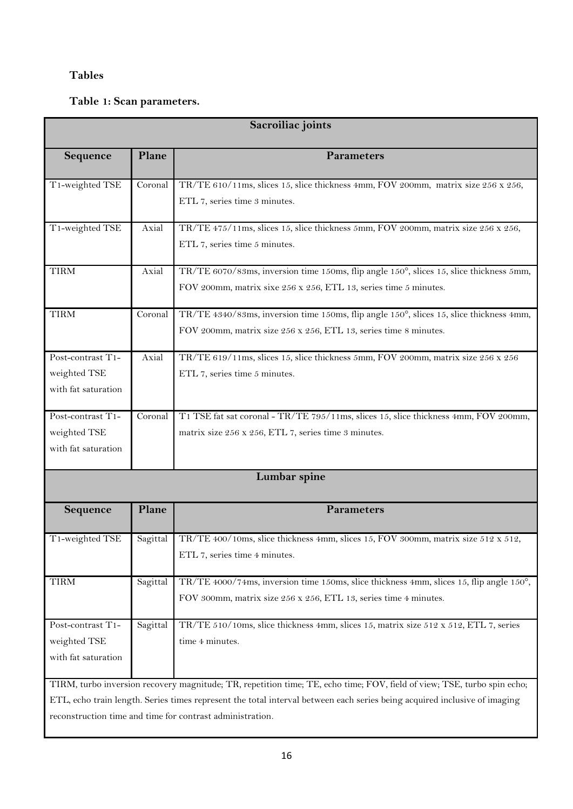# **Tables**

# **Table 1: Scan parameters.**

| Sacroiliac joints                                                                                                         |          |                                                                                         |  |  |
|---------------------------------------------------------------------------------------------------------------------------|----------|-----------------------------------------------------------------------------------------|--|--|
| Sequence                                                                                                                  | Plane    | <b>Parameters</b>                                                                       |  |  |
| T1-weighted TSE                                                                                                           | Coronal  | TR/TE 610/11ms, slices 15, slice thickness 4mm, FOV 200mm, matrix size 256 x 256,       |  |  |
|                                                                                                                           |          | ETL 7, series time 3 minutes.                                                           |  |  |
| T1-weighted TSE                                                                                                           | Axial    | TR/TE 475/11ms, slices 15, slice thickness 5mm, FOV 200mm, matrix size 256 x 256,       |  |  |
|                                                                                                                           |          | ETL 7, series time 5 minutes.                                                           |  |  |
| <b>TIRM</b>                                                                                                               | Axial    | TR/TE 6070/83ms, inversion time 150ms, flip angle 150°, slices 15, slice thickness 5mm, |  |  |
|                                                                                                                           |          | FOV 200mm, matrix sixe 256 x 256, ETL 13, series time 5 minutes.                        |  |  |
| <b>TIRM</b>                                                                                                               | Coronal  | TR/TE 4340/83ms, inversion time 150ms, flip angle 150°, slices 15, slice thickness 4mm, |  |  |
|                                                                                                                           |          | FOV 200mm, matrix size 256 x 256, ETL 13, series time 8 minutes.                        |  |  |
| Post-contrast T1-                                                                                                         | Axial    | TR/TE 619/11ms, slices 15, slice thickness 5mm, FOV 200mm, matrix size 256 x 256        |  |  |
| weighted TSE                                                                                                              |          | ETL 7, series time 5 minutes.                                                           |  |  |
| with fat saturation                                                                                                       |          |                                                                                         |  |  |
| Post-contrast T1-                                                                                                         | Coronal  | T1 TSE fat sat coronal - TR/TE 795/11ms, slices 15, slice thickness 4mm, FOV 200mm,     |  |  |
| weighted TSE                                                                                                              |          | matrix size 256 x 256, ETL 7, series time 3 minutes.                                    |  |  |
| with fat saturation                                                                                                       |          |                                                                                         |  |  |
|                                                                                                                           |          | Lumbar spine                                                                            |  |  |
| Sequence                                                                                                                  | Plane    | Parameters                                                                              |  |  |
|                                                                                                                           |          |                                                                                         |  |  |
| T1-weighted TSE                                                                                                           | Sagittal | TR/TE 400/10ms, slice thickness 4mm, slices 15, FOV 300mm, matrix size 512 x 512,       |  |  |
|                                                                                                                           |          | ETL 7, series time 4 minutes.                                                           |  |  |
| <b>TIRM</b>                                                                                                               | Sagittal | TR/TE 4000/74ms, inversion time 150ms, slice thickness 4mm, slices 15, flip angle 150°, |  |  |
|                                                                                                                           |          | FOV 300mm, matrix size 256 x 256, ETL 13, series time 4 minutes.                        |  |  |
| Post-contrast T1-                                                                                                         | Sagittal | TR/TE 510/10ms, slice thickness 4mm, slices 15, matrix size 512 x 512, ETL 7, series    |  |  |
| weighted TSE                                                                                                              |          | time 4 minutes.                                                                         |  |  |
| with fat saturation                                                                                                       |          |                                                                                         |  |  |
| TIRM, turbo inversion recovery magnitude; TR, repetition time; TE, echo time; FOV, field of view; TSE, turbo spin echo;   |          |                                                                                         |  |  |
| ETL, echo train length. Series times represent the total interval between each series being acquired inclusive of imaging |          |                                                                                         |  |  |
| reconstruction time and time for contrast administration.                                                                 |          |                                                                                         |  |  |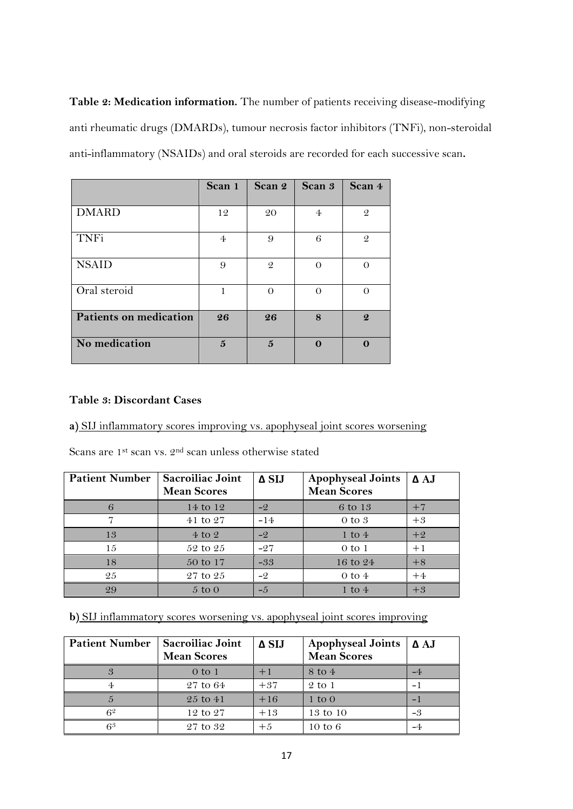**Table 2: Medication information.** The number of patients receiving disease-modifying anti rheumatic drugs (DMARDs), tumour necrosis factor inhibitors (TNFi), non-steroidal anti-inflammatory (NSAIDs) and oral steroids are recorded for each successive scan**.**

|                               | Scan 1         | Scan 2        | Scan 3         | Scan 4           |
|-------------------------------|----------------|---------------|----------------|------------------|
| <b>DMARD</b>                  | 12             |               | $\overline{4}$ | $\mathcal{Q}$    |
|                               |                | 20            |                |                  |
| <b>TNFi</b>                   | $\overline{4}$ | 9             | 6              | $\mathcal{Q}$    |
| <b>NSAID</b>                  | 9              | $\mathcal{Q}$ | $\Omega$       |                  |
| Oral steroid                  | 1              |               | $\Omega$       |                  |
| <b>Patients on medication</b> | 26             | 26            | 8              | $\boldsymbol{Q}$ |
| No medication                 | $\mathbf{5}$   | $\mathbf{5}$  | $\Omega$       |                  |

## **Table 3: Discordant Cases**

# **a)** SIJ inflammatory scores improving vs. apophyseal joint scores worsening

Scans are 1st scan vs. 2nd scan unless otherwise stated

| <b>Patient Number</b> | Sacroiliac Joint<br><b>Mean Scores</b> | $\Delta$ SIJ | <b>Apophyseal Joints</b><br><b>Mean Scores</b> | $\Delta$ AJ |
|-----------------------|----------------------------------------|--------------|------------------------------------------------|-------------|
| 6                     | 14 to 12                               | $-2$         | 6 to 13                                        | $+7$        |
|                       | 41 to 27                               | $-14$        | $0 \text{ to } 3$                              | $+3$        |
| 13                    | $4$ to $2$                             | $-2$         | 1 to $4$                                       | $+2$        |
| 15                    | $52$ to $25$                           | $-27$        | $0$ to $1$                                     | $+1$        |
| 18                    | 50 to 17                               | $-33$        | 16 to $24$                                     | $+8$        |
| 25                    | $27$ to $25$                           | $-2$         | $0$ to $4$                                     | $+4$        |
| 29                    | $5 \text{ to } 0$                      | $-5$         | $1 \text{ to } 4$                              | $+3$        |

**b**) SIJ inflammatory scores worsening vs. apophyseal joint scores improving

| <b>Patient Number</b> | Sacroiliac Joint<br><b>Mean Scores</b> | $\Delta$ SIJ | <b>Apophyseal Joints</b><br><b>Mean Scores</b> | $\Delta$ AJ |
|-----------------------|----------------------------------------|--------------|------------------------------------------------|-------------|
| 3                     | $0$ to $1$                             |              | $8 \text{ to } 4$                              |             |
|                       | $27$ to 64                             | $+37$        | $2$ to 1                                       |             |
|                       | $25$ to $41$                           | $+16$        | $1 \text{ to } 0$                              | -           |
| $6^{\circ}$           | $12 \text{ to } 27$                    | $+13$        | 13 to 10                                       | -3          |
| 63                    | 27 to 32                               | $+5$         | 10 to $6$                                      |             |